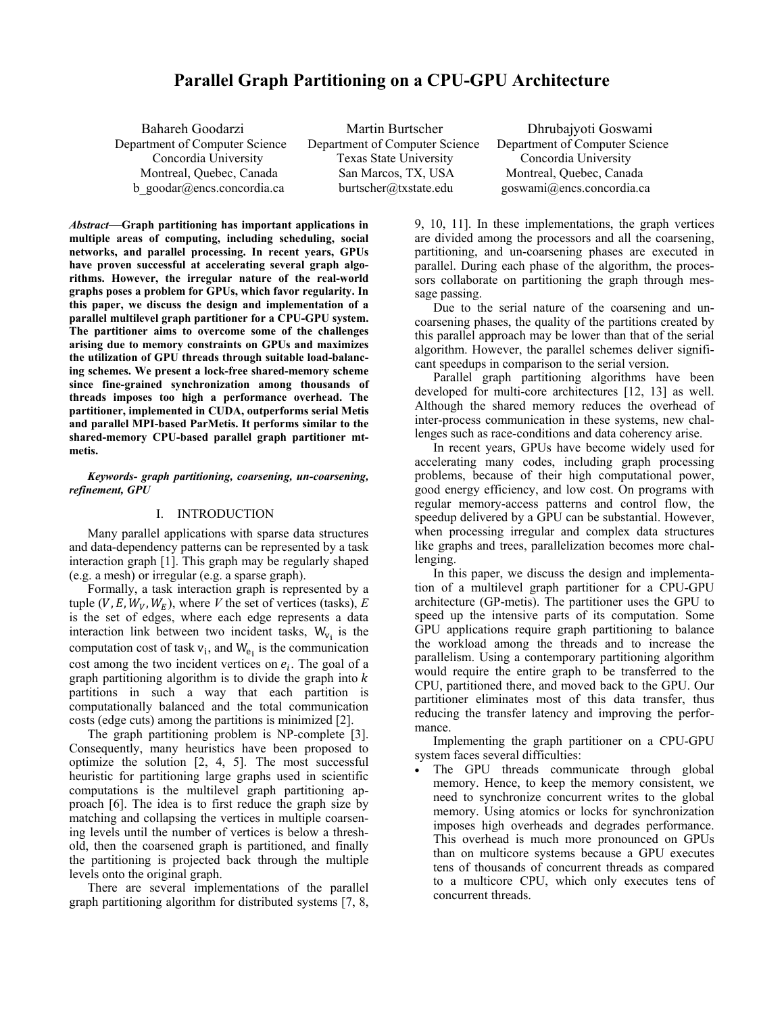# **Parallel Graph Partitioning on a CPU-GPU Architecture**

Department of Computer Science Department of Computer Science Department of Computer Science

 Bahareh Goodarzi Martin Burtscher Dhrubajyoti Goswami Concordia University Texas State University Concordia University Montreal, Quebec, Canada San Marcos, TX, USA Montreal, Quebec, Canada b\_goodar@encs.concordia.ca burtscher@txstate.edu goswami@encs.concordia.ca

*Abstract*—**Graph partitioning has important applications in multiple areas of computing, including scheduling, social networks, and parallel processing. In recent years, GPUs have proven successful at accelerating several graph algorithms. However, the irregular nature of the real-world graphs poses a problem for GPUs, which favor regularity. In this paper, we discuss the design and implementation of a parallel multilevel graph partitioner for a CPU-GPU system. The partitioner aims to overcome some of the challenges arising due to memory constraints on GPUs and maximizes the utilization of GPU threads through suitable load-balancing schemes. We present a lock-free shared-memory scheme since fine-grained synchronization among thousands of threads imposes too high a performance overhead. The partitioner, implemented in CUDA, outperforms serial Metis and parallel MPI-based ParMetis. It performs similar to the shared-memory CPU-based parallel graph partitioner mtmetis.**

### *Keywords- graph partitioning, coarsening, un-coarsening, refinement, GPU*

# I. INTRODUCTION

Many parallel applications with sparse data structures and data-dependency patterns can be represented by a task interaction graph [1]. This graph may be regularly shaped (e.g. a mesh) or irregular (e.g. a sparse graph).

Formally, a task interaction graph is represented by a tuple  $(V, E, W_V, W_E)$ , where *V* the set of vertices (tasks), *E* is the set of edges, where each edge represents a data interaction link between two incident tasks,  $W_{v_i}$  is the computation cost of task  $v_i$ , and  $W_{e_i}$  is the communication cost among the two incident vertices on  $e_i$ . The goal of a graph partitioning algorithm is to divide the graph into  $k$ partitions in such a way that each partition is computationally balanced and the total communication costs (edge cuts) among the partitions is minimized [2].

The graph partitioning problem is NP-complete [3]. Consequently, many heuristics have been proposed to optimize the solution [2, 4, 5]. The most successful heuristic for partitioning large graphs used in scientific computations is the multilevel graph partitioning approach [6]. The idea is to first reduce the graph size by matching and collapsing the vertices in multiple coarsening levels until the number of vertices is below a threshold, then the coarsened graph is partitioned, and finally the partitioning is projected back through the multiple levels onto the original graph.

There are several implementations of the parallel graph partitioning algorithm for distributed systems [7, 8, 9, 10, 11]. In these implementations, the graph vertices are divided among the processors and all the coarsening, partitioning, and un-coarsening phases are executed in parallel. During each phase of the algorithm, the processors collaborate on partitioning the graph through message passing.

Due to the serial nature of the coarsening and uncoarsening phases, the quality of the partitions created by this parallel approach may be lower than that of the serial algorithm. However, the parallel schemes deliver significant speedups in comparison to the serial version.

Parallel graph partitioning algorithms have been developed for multi-core architectures [12, 13] as well. Although the shared memory reduces the overhead of inter-process communication in these systems, new challenges such as race-conditions and data coherency arise.

In recent years, GPUs have become widely used for accelerating many codes, including graph processing problems, because of their high computational power, good energy efficiency, and low cost. On programs with regular memory-access patterns and control flow, the speedup delivered by a GPU can be substantial. However, when processing irregular and complex data structures like graphs and trees, parallelization becomes more challenging.

In this paper, we discuss the design and implementation of a multilevel graph partitioner for a CPU-GPU architecture (GP-metis). The partitioner uses the GPU to speed up the intensive parts of its computation. Some GPU applications require graph partitioning to balance the workload among the threads and to increase the parallelism. Using a contemporary partitioning algorithm would require the entire graph to be transferred to the CPU, partitioned there, and moved back to the GPU. Our partitioner eliminates most of this data transfer, thus reducing the transfer latency and improving the performance.

Implementing the graph partitioner on a CPU-GPU system faces several difficulties:

The GPU threads communicate through global memory. Hence, to keep the memory consistent, we need to synchronize concurrent writes to the global memory. Using atomics or locks for synchronization imposes high overheads and degrades performance. This overhead is much more pronounced on GPUs than on multicore systems because a GPU executes tens of thousands of concurrent threads as compared to a multicore CPU, which only executes tens of concurrent threads.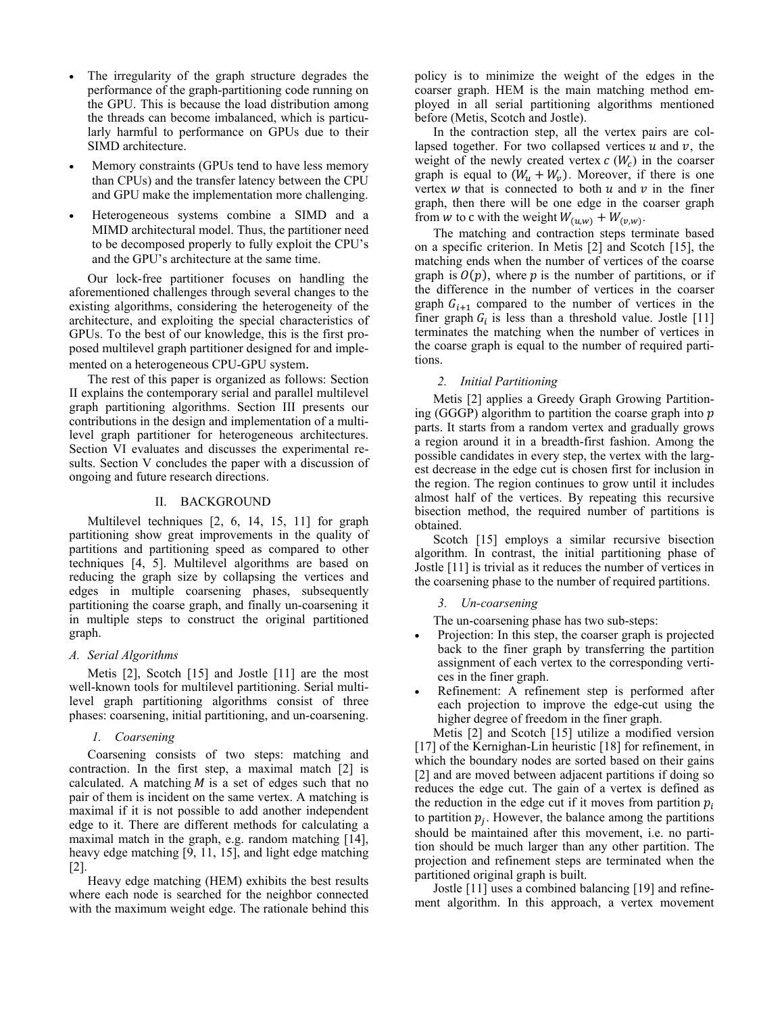- The irregularity of the graph structure degrades the performance of the graph-partitioning code running on the GPU. This is because the load distribution among the threads can become imbalanced, which is particularly harmful to performance on GPUs due to their SIMD architecture.
- Memory constraints (GPUs tend to have less memory than CPUs) and the transfer latency between the CPU and GPU make the implementation more challenging.
- Heterogeneous systems combine a SIMD and a MIMD architectural model. Thus, the partitioner need to be decomposed properly to fully exploit the CPU's and the GPU's architecture at the same time.

Our lock-free partitioner focuses on handling the aforementioned challenges through several changes to the existing algorithms, considering the heterogeneity of the architecture, and exploiting the special characteristics of GPUs. To the best of our knowledge, this is the first proposed multilevel graph partitioner designed for and implemented on a heterogeneous CPU-GPU system. The rest of this paper is organized as follows: Section

II explains the contemporary serial and parallel multilevel graph partitioning algorithms. Section III presents our contributions in the design and implementation of a multilevel graph partitioner for heterogeneous architectures. Section VI evaluates and discusses the experimental results. Section V concludes the paper with a discussion of ongoing and future research directions.

### II. BACKGROUND

Multilevel techniques [2, 6, 14, 15, 11] for graph partitioning show great improvements in the quality of partitions and partitioning speed as compared to other techniques [4, 5]. Multilevel algorithms are based on reducing the graph size by collapsing the vertices and edges in multiple coarsening phases, subsequently partitioning the coarse graph, and finally un-coarsening it in multiple steps to construct the original partitioned graph.

### *A. Serial Algorithms*

Metis [2], Scotch [15] and Jostle [11] are the most well-known tools for multilevel partitioning. Serial multilevel graph partitioning algorithms consist of three phases: coarsening, initial partitioning, and un-coarsening.

# *1. Coarsening*

Coarsening consists of two steps: matching and contraction. In the first step, a maximal match [2] is calculated. A matching  $M$  is a set of edges such that no pair of them is incident on the same vertex. A matching is maximal if it is not possible to add another independent edge to it. There are different methods for calculating a maximal match in the graph, e.g. random matching [14], heavy edge matching [9, 11, 15], and light edge matching [2].

Heavy edge matching (HEM) exhibits the best results where each node is searched for the neighbor connected with the maximum weight edge. The rationale behind this

policy is to minimize the weight of the edges in the coarser graph. HEM is the main matching method employed in all serial partitioning algorithms mentioned before (Metis, Scotch and Jostle).

In the contraction step, all the vertex pairs are collapsed together. For two collapsed vertices  $u$  and  $v$ , the weight of the newly created vertex  $c(W_c)$  in the coarser graph is equal to  $(W_u + W_v)$ . Moreover, if there is one vertex w that is connected to both  $u$  and  $v$  in the finer graph, then there will be one edge in the coarser graph from w to c with the weight  $W_{(u,w)} + W_{(v,w)}$ .

The matching and contraction steps terminate based on a specific criterion. In Metis [2] and Scotch [15], the matching ends when the number of vertices of the coarse graph is  $O(p)$ , where p is the number of partitions, or if the difference in the number of vertices in the coarser graph  $G_{i+1}$  compared to the number of vertices in the finer graph  $G_i$  is less than a threshold value. Jostle [11] terminates the matching when the number of vertices in the coarse graph is equal to the number of required partitions.

# *2. Initial Partitioning*

Metis [2] applies a Greedy Graph Growing Partitioning (GGGP) algorithm to partition the coarse graph into  $p$ parts. It starts from a random vertex and gradually grows a region around it in a breadth-first fashion. Among the possible candidates in every step, the vertex with the largest decrease in the edge cut is chosen first for inclusion in the region. The region continues to grow until it includes almost half of the vertices. By repeating this recursive bisection method, the required number of partitions is obtained.

Scotch [15] employs a similar recursive bisection algorithm. In contrast, the initial partitioning phase of Jostle [11] is trivial as it reduces the number of vertices in the coarsening phase to the number of required partitions.

# *3. Un-coarsening*

The un-coarsening phase has two sub-steps:

- Projection: In this step, the coarser graph is projected back to the finer graph by transferring the partition assignment of each vertex to the corresponding vertices in the finer graph.
- Refinement: A refinement step is performed after each projection to improve the edge-cut using the higher degree of freedom in the finer graph.

Metis [2] and Scotch [15] utilize a modified version [17] of the Kernighan-Lin heuristic [18] for refinement, in which the boundary nodes are sorted based on their gains [2] and are moved between adjacent partitions if doing so reduces the edge cut. The gain of a vertex is defined as the reduction in the edge cut if it moves from partition  $p_i$ to partition  $p_i$ . However, the balance among the partitions should be maintained after this movement, i.e. no partition should be much larger than any other partition. The projection and refinement steps are terminated when the partitioned original graph is built.

Jostle [11] uses a combined balancing [19] and refinement algorithm. In this approach, a vertex movement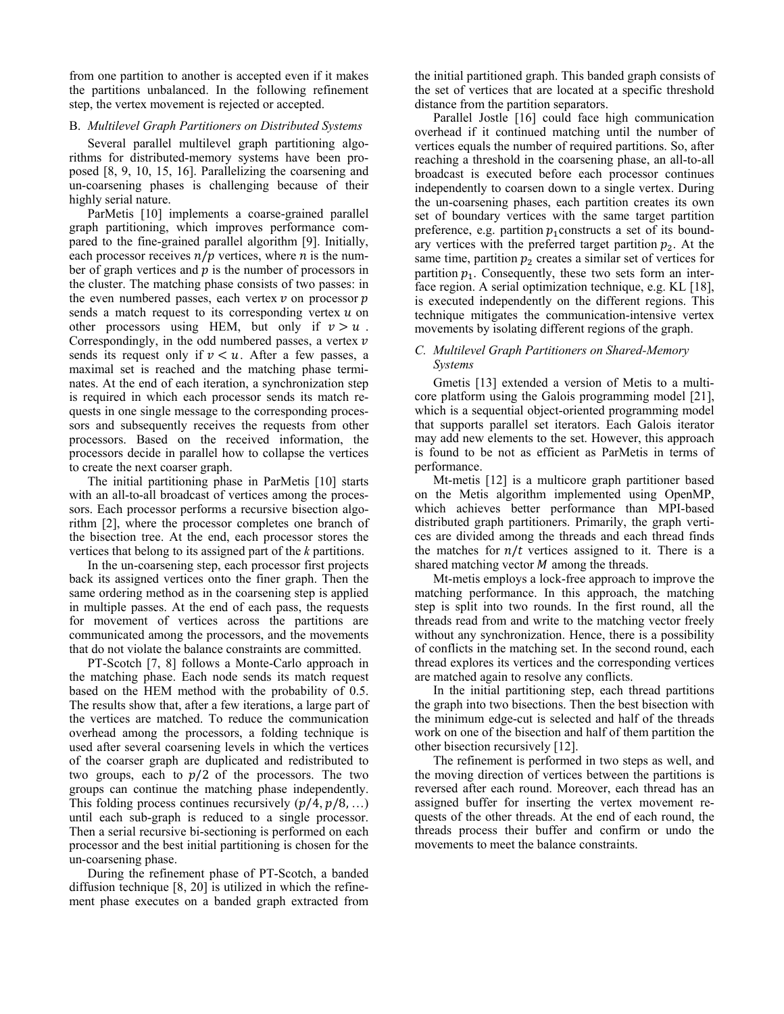from one partition to another is accepted even if it makes the partitions unbalanced. In the following refinement step, the vertex movement is rejected or accepted.

### B. *Multilevel Graph Partitioners on Distributed Systems*

Several parallel multilevel graph partitioning algorithms for distributed-memory systems have been proposed [8, 9, 10, 15, 16]. Parallelizing the coarsening and un-coarsening phases is challenging because of their highly serial nature.

ParMetis [10] implements a coarse-grained parallel graph partitioning, which improves performance compared to the fine-grained parallel algorithm [9]. Initially, each processor receives  $n/p$  vertices, where *n* is the number of graph vertices and  $p$  is the number of processors in the cluster. The matching phase consists of two passes: in the even numbered passes, each vertex  $\nu$  on processor  $p$ sends a match request to its corresponding vertex  $u$  on other processors using HEM, but only if  $v > u$ . Correspondingly, in the odd numbered passes, a vertex  $\nu$ sends its request only if  $v \lt u$ . After a few passes, a maximal set is reached and the matching phase terminates. At the end of each iteration, a synchronization step is required in which each processor sends its match requests in one single message to the corresponding processors and subsequently receives the requests from other processors. Based on the received information, the processors decide in parallel how to collapse the vertices to create the next coarser graph.

The initial partitioning phase in ParMetis [10] starts with an all-to-all broadcast of vertices among the processors. Each processor performs a recursive bisection algorithm [2], where the processor completes one branch of the bisection tree. At the end, each processor stores the vertices that belong to its assigned part of the *k* partitions.

In the un-coarsening step, each processor first projects back its assigned vertices onto the finer graph. Then the same ordering method as in the coarsening step is applied in multiple passes. At the end of each pass, the requests for movement of vertices across the partitions are communicated among the processors, and the movements that do not violate the balance constraints are committed.

PT-Scotch [7, 8] follows a Monte-Carlo approach in the matching phase. Each node sends its match request based on the HEM method with the probability of 0.5. The results show that, after a few iterations, a large part of the vertices are matched. To reduce the communication overhead among the processors, a folding technique is used after several coarsening levels in which the vertices of the coarser graph are duplicated and redistributed to two groups, each to  $p/2$  of the processors. The two groups can continue the matching phase independently. This folding process continues recursively  $(p/4, p/8, ...)$ until each sub-graph is reduced to a single processor. Then a serial recursive bi-sectioning is performed on each processor and the best initial partitioning is chosen for the un-coarsening phase.

During the refinement phase of PT-Scotch, a banded diffusion technique [8, 20] is utilized in which the refinement phase executes on a banded graph extracted from the initial partitioned graph. This banded graph consists of the set of vertices that are located at a specific threshold distance from the partition separators.

Parallel Jostle [16] could face high communication overhead if it continued matching until the number of vertices equals the number of required partitions. So, after reaching a threshold in the coarsening phase, an all-to-all broadcast is executed before each processor continues independently to coarsen down to a single vertex. During the un-coarsening phases, each partition creates its own set of boundary vertices with the same target partition preference, e.g. partition  $p_1$  constructs a set of its boundary vertices with the preferred target partition  $p_2$ . At the same time, partition  $p_2$  creates a similar set of vertices for partition  $p_1$ . Consequently, these two sets form an interface region. A serial optimization technique, e.g. KL [18], is executed independently on the different regions. This technique mitigates the communication-intensive vertex movements by isolating different regions of the graph.

### *C. Multilevel Graph Partitioners on Shared-Memory Systems*

Gmetis [13] extended a version of Metis to a multicore platform using the Galois programming model [21], which is a sequential object-oriented programming model that supports parallel set iterators. Each Galois iterator may add new elements to the set. However, this approach is found to be not as efficient as ParMetis in terms of performance.

Mt-metis [12] is a multicore graph partitioner based on the Metis algorithm implemented using OpenMP, which achieves better performance than MPI-based distributed graph partitioners. Primarily, the graph vertices are divided among the threads and each thread finds the matches for  $n/t$  vertices assigned to it. There is a shared matching vector *M* among the threads.

Mt-metis employs a lock-free approach to improve the matching performance. In this approach, the matching step is split into two rounds. In the first round, all the threads read from and write to the matching vector freely without any synchronization. Hence, there is a possibility of conflicts in the matching set. In the second round, each thread explores its vertices and the corresponding vertices are matched again to resolve any conflicts.

In the initial partitioning step, each thread partitions the graph into two bisections. Then the best bisection with the minimum edge-cut is selected and half of the threads work on one of the bisection and half of them partition the other bisection recursively [12].

The refinement is performed in two steps as well, and the moving direction of vertices between the partitions is reversed after each round. Moreover, each thread has an assigned buffer for inserting the vertex movement requests of the other threads. At the end of each round, the threads process their buffer and confirm or undo the movements to meet the balance constraints.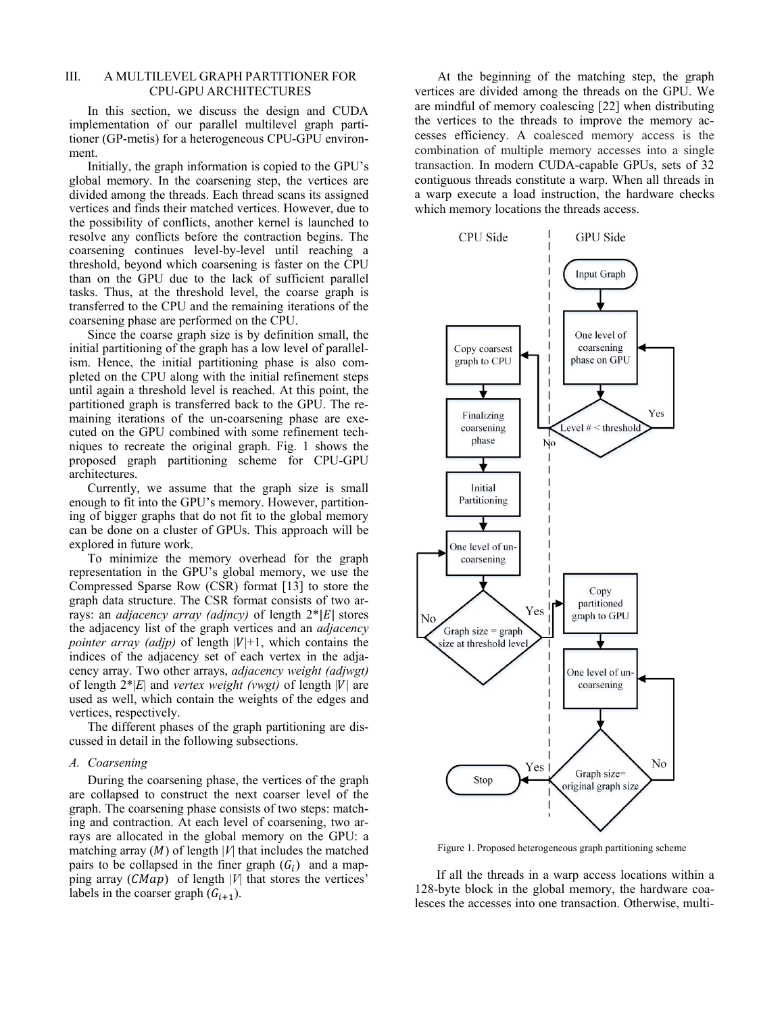# III. A MULTILEVEL GRAPH PARTITIONER FOR CPU-GPU ARCHITECTURES

In this section, we discuss the design and CUDA implementation of our parallel multilevel graph partitioner (GP-metis) for a heterogeneous CPU-GPU environment.

Initially, the graph information is copied to the GPU's global memory. In the coarsening step, the vertices are divided among the threads. Each thread scans its assigned vertices and finds their matched vertices. However, due to the possibility of conflicts, another kernel is launched to resolve any conflicts before the contraction begins. The coarsening continues level-by-level until reaching a threshold, beyond which coarsening is faster on the CPU than on the GPU due to the lack of sufficient parallel tasks. Thus, at the threshold level, the coarse graph is transferred to the CPU and the remaining iterations of the coarsening phase are performed on the CPU.

Since the coarse graph size is by definition small, the initial partitioning of the graph has a low level of parallelism. Hence, the initial partitioning phase is also completed on the CPU along with the initial refinement steps until again a threshold level is reached. At this point, the partitioned graph is transferred back to the GPU. The remaining iterations of the un-coarsening phase are executed on the GPU combined with some refinement techniques to recreate the original graph. Fig. 1 shows the proposed graph partitioning scheme for CPU-GPU architectures.

Currently, we assume that the graph size is small enough to fit into the GPU's memory. However, partitioning of bigger graphs that do not fit to the global memory can be done on a cluster of GPUs. This approach will be explored in future work.

To minimize the memory overhead for the graph representation in the GPU's global memory, we use the Compressed Sparse Row (CSR) format [13] to store the graph data structure. The CSR format consists of two arrays: an *adjacency array (adjncy)* of length  $2^*|E|$  stores the adjacency list of the graph vertices and an *adjacency pointer array (adjp)* of length  $|V|+1$ , which contains the indices of the adjacency set of each vertex in the adjacency array. Two other arrays, *adjacency weight (adjwgt)* of length  $2^*|E|$  and *vertex weight (vwgt)* of length |V| are used as well, which contain the weights of the edges and vertices, respectively.

The different phases of the graph partitioning are discussed in detail in the following subsections.

#### *A. Coarsening*

During the coarsening phase, the vertices of the graph are collapsed to construct the next coarser level of the graph. The coarsening phase consists of two steps: matching and contraction. At each level of coarsening, two arrays are allocated in the global memory on the GPU: a matching array  $(M)$  of length  $|V|$  that includes the matched pairs to be collapsed in the finer graph  $(G_i)$  and a mapping array  $(CMap)$  of length |*V*| that stores the vertices' labels in the coarser graph  $(G_{i+1})$ .

At the beginning of the matching step, the graph vertices are divided among the threads on the GPU. We are mindful of memory coalescing [22] when distributing the vertices to the threads to improve the memory accesses efficiency. A coalesced memory access is the combination of multiple memory accesses into a single transaction. In modern CUDA-capable GPUs, sets of 32 contiguous threads constitute a warp. When all threads in a warp execute a load instruction, the hardware checks which memory locations the threads access.



Figure 1. Proposed heterogeneous graph partitioning scheme

 If all the threads in a warp access locations within a 128-byte block in the global memory, the hardware coalesces the accesses into one transaction. Otherwise, multi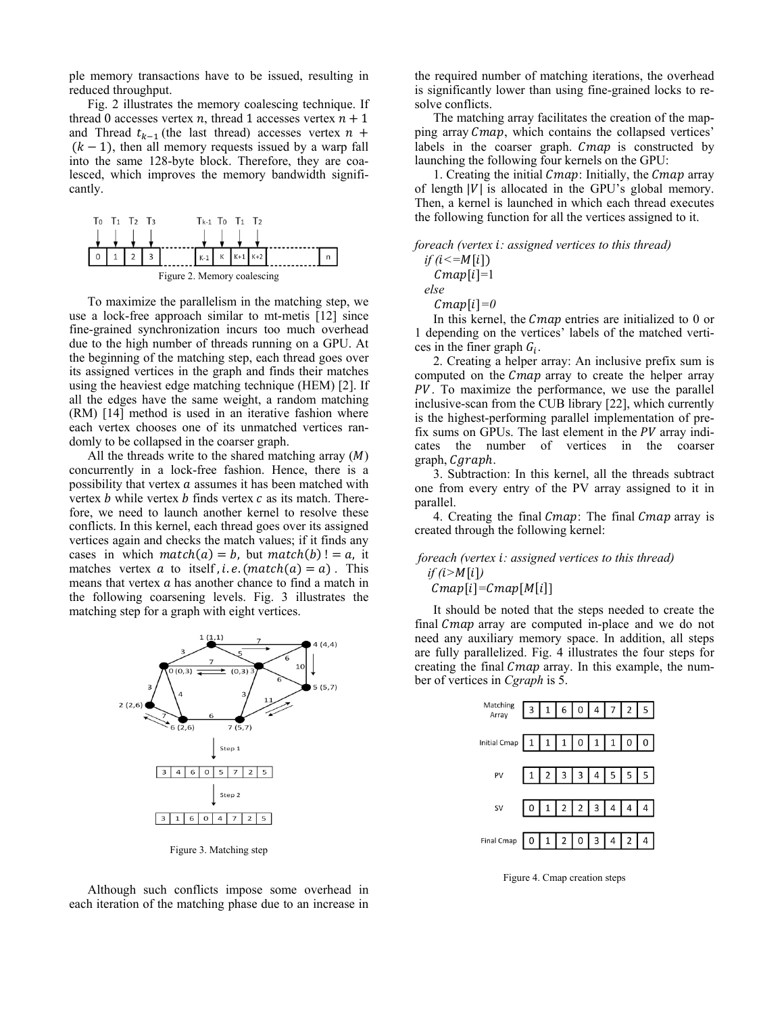ple memory transactions have to be issued, resulting in reduced throughput.

Fig. 2 illustrates the memory coalescing technique. If thread 0 accesses vertex  $n$ , thread 1 accesses vertex  $n + 1$ and Thread  $t_{k-1}$  (the last thread) accesses vertex  $n +$  $(k - 1)$ , then all memory requests issued by a warp fall into the same 128-byte block. Therefore, they are coalesced, which improves the memory bandwidth significantly.



To maximize the parallelism in the matching step, we use a lock-free approach similar to mt-metis [12] since fine-grained synchronization incurs too much overhead due to the high number of threads running on a GPU. At the beginning of the matching step, each thread goes over its assigned vertices in the graph and finds their matches using the heaviest edge matching technique (HEM) [2]. If all the edges have the same weight, a random matching (RM) [14] method is used in an iterative fashion where each vertex chooses one of its unmatched vertices randomly to be collapsed in the coarser graph.

All the threads write to the shared matching array  $(M)$ concurrently in a lock-free fashion. Hence, there is a possibility that vertex  $a$  assumes it has been matched with vertex  $b$  while vertex  $b$  finds vertex  $c$  as its match. Therefore, we need to launch another kernel to resolve these conflicts. In this kernel, each thread goes over its assigned vertices again and checks the match values; if it finds any cases in which  $match(a) = b$ , but  $match(b) != a$ , it matches vertex  $a$  to itself, *i.e.* ( $match(a) = a$ ). This means that vertex  $a$  has another chance to find a match in the following coarsening levels. Fig. 3 illustrates the matching step for a graph with eight vertices.



Figure 3. Matching step

Although such conflicts impose some overhead in each iteration of the matching phase due to an increase in the required number of matching iterations, the overhead is significantly lower than using fine-grained locks to resolve conflicts.

The matching array facilitates the creation of the mapping array Cmap, which contains the collapsed vertices' labels in the coarser graph. Cmap is constructed by launching the following four kernels on the GPU:

1. Creating the initial  $Cmap$ : Initially, the  $Cmap$  array of length  $|V|$  is allocated in the GPU's global memory. Then, a kernel is launched in which each thread executes the following function for all the vertices assigned to it.

#### *foreach (vertex i: assigned vertices to this thread)*

 $if (i \leq M[i])$  $Cmap[i]=1$  *else* 

 $Cmap[i]=0$ 

In this kernel, the Cmap entries are initialized to 0 or 1 depending on the vertices' labels of the matched vertices in the finer graph  $G_i$ .

2. Creating a helper array: An inclusive prefix sum is computed on the Cmap array to create the helper array PV. To maximize the performance, we use the parallel inclusive-scan from the CUB library [22], which currently is the highest-performing parallel implementation of prefix sums on GPUs. The last element in the  $PV$  array indicates the number of vertices in the coarser  $graph, C, graph$ .

3. Subtraction: In this kernel, all the threads subtract one from every entry of the PV array assigned to it in parallel.

4. Creating the final Cmap: The final Cmap array is created through the following kernel:

# *foreach (vertex i: assigned vertices to this thread)*  $if (i > M[i])$

 $Cmap[i]=Cmap[M[i]]$ 

It should be noted that the steps needed to create the final Cmap array are computed in-place and we do not need any auxiliary memory space. In addition, all steps are fully parallelized. Fig. 4 illustrates the four steps for creating the final *Cmap* array. In this example, the number of vertices in *Cgraph* is 5.

| Matching<br>Array                | 31604725  |  |  |  |  |
|----------------------------------|-----------|--|--|--|--|
| Initial Cmap $1111011$ $0111000$ |           |  |  |  |  |
| PV                               | 123344555 |  |  |  |  |
| <b>SV</b>                        | 012234444 |  |  |  |  |
|                                  |           |  |  |  |  |

Figure 4. Cmap creation steps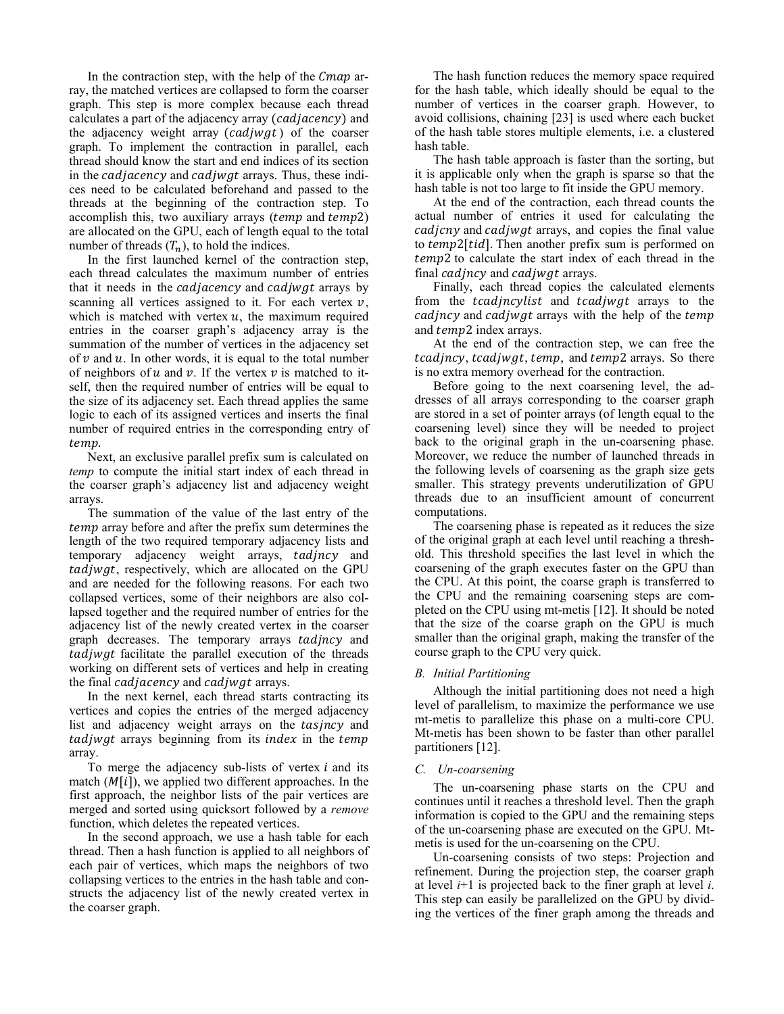In the contraction step, with the help of the  $Cmap$  array, the matched vertices are collapsed to form the coarser graph. This step is more complex because each thread calculates a part of the adjacency array (*cadjacency*) and the adjacency weight array  $(cadjwgt)$  of the coarser graph. To implement the contraction in parallel, each thread should know the start and end indices of its section in the *cadjacency* and *cadjwgt* arrays. Thus, these indices need to be calculated beforehand and passed to the threads at the beginning of the contraction step. To accomplish this, two auxiliary arrays ( $temp$  and  $temp2$ ) are allocated on the GPU, each of length equal to the total number of threads  $(T_n)$ , to hold the indices.

In the first launched kernel of the contraction step, each thread calculates the maximum number of entries that it needs in the *cadjacency* and *cadjwgt* arrays by scanning all vertices assigned to it. For each vertex  $v$ , which is matched with vertex  $u$ , the maximum required entries in the coarser graph's adjacency array is the summation of the number of vertices in the adjacency set of  $\nu$  and  $\nu$ . In other words, it is equal to the total number of neighbors of  $u$  and  $v$ . If the vertex  $v$  is matched to itself, then the required number of entries will be equal to the size of its adjacency set. Each thread applies the same logic to each of its assigned vertices and inserts the final number of required entries in the corresponding entry of temp.

Next, an exclusive parallel prefix sum is calculated on *temp* to compute the initial start index of each thread in the coarser graph's adjacency list and adjacency weight arrays.

The summation of the value of the last entry of the temp array before and after the prefix sum determines the length of the two required temporary adjacency lists and temporary adjacency weight arrays, tadjncy and tadjwgt, respectively, which are allocated on the GPU and are needed for the following reasons. For each two collapsed vertices, some of their neighbors are also collapsed together and the required number of entries for the adjacency list of the newly created vertex in the coarser graph decreases. The temporary arrays tadjncy and tadjwgt facilitate the parallel execution of the threads working on different sets of vertices and help in creating the final *cadjacency* and *cadjwgt* arrays.

In the next kernel, each thread starts contracting its vertices and copies the entries of the merged adjacency list and adjacency weight arrays on the tasjncy and tadjwgt arrays beginning from its *index* in the temp array.

To merge the adjacency sub-lists of vertex  $i$  and its match  $(M[i])$ , we applied two different approaches. In the first approach, the neighbor lists of the pair vertices are merged and sorted using quicksort followed by a *remove*  function, which deletes the repeated vertices.

In the second approach, we use a hash table for each thread. Then a hash function is applied to all neighbors of each pair of vertices, which maps the neighbors of two collapsing vertices to the entries in the hash table and constructs the adjacency list of the newly created vertex in the coarser graph.

The hash function reduces the memory space required for the hash table, which ideally should be equal to the number of vertices in the coarser graph. However, to avoid collisions, chaining [23] is used where each bucket of the hash table stores multiple elements, i.e. a clustered hash table.

The hash table approach is faster than the sorting, but it is applicable only when the graph is sparse so that the hash table is not too large to fit inside the GPU memory.

At the end of the contraction, each thread counts the actual number of entries it used for calculating the cadjcny and cadjwgt arrays, and copies the final value to  $temp2[tid]$ . Then another prefix sum is performed on temp2 to calculate the start index of each thread in the final cadincy and cadiwgt arrays.

Finally, each thread copies the calculated elements from the *tcadjncylist* and *tcadjwgt* arrays to the cadjncy and cadjwgt arrays with the help of the temp and *temp*2 index arrays.

At the end of the contraction step, we can free the tcadjncy, tcadjwgt, temp, and temp2 arrays. So there is no extra memory overhead for the contraction.

Before going to the next coarsening level, the addresses of all arrays corresponding to the coarser graph are stored in a set of pointer arrays (of length equal to the coarsening level) since they will be needed to project back to the original graph in the un-coarsening phase. Moreover, we reduce the number of launched threads in the following levels of coarsening as the graph size gets smaller. This strategy prevents underutilization of GPU threads due to an insufficient amount of concurrent computations.

The coarsening phase is repeated as it reduces the size of the original graph at each level until reaching a threshold. This threshold specifies the last level in which the coarsening of the graph executes faster on the GPU than the CPU. At this point, the coarse graph is transferred to the CPU and the remaining coarsening steps are completed on the CPU using mt-metis [12]. It should be noted that the size of the coarse graph on the GPU is much smaller than the original graph, making the transfer of the course graph to the CPU very quick.

# *B. Initial Partitioning*

Although the initial partitioning does not need a high level of parallelism, to maximize the performance we use mt-metis to parallelize this phase on a multi-core CPU. Mt-metis has been shown to be faster than other parallel partitioners [12].

### *C. Un-coarsening*

The un-coarsening phase starts on the CPU and continues until it reaches a threshold level. Then the graph information is copied to the GPU and the remaining steps of the un-coarsening phase are executed on the GPU. Mtmetis is used for the un-coarsening on the CPU.

Un-coarsening consists of two steps: Projection and refinement. During the projection step, the coarser graph at level *i*+1 is projected back to the finer graph at level *i*. This step can easily be parallelized on the GPU by dividing the vertices of the finer graph among the threads and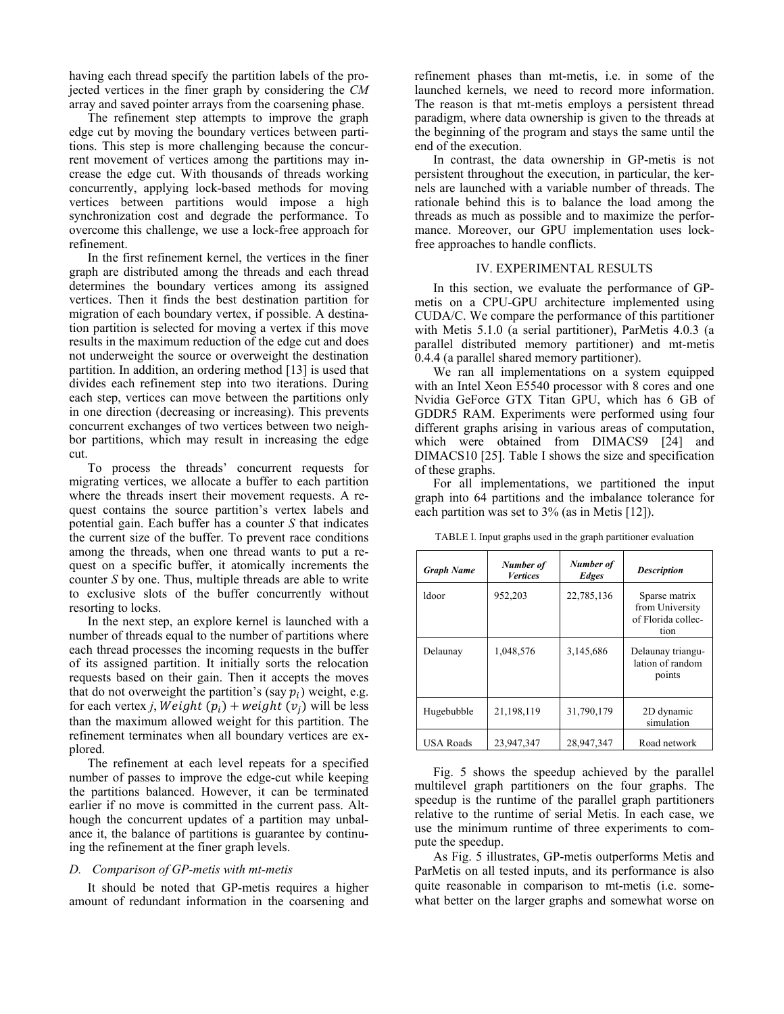having each thread specify the partition labels of the projected vertices in the finer graph by considering the *CM* array and saved pointer arrays from the coarsening phase.

The refinement step attempts to improve the graph edge cut by moving the boundary vertices between partitions. This step is more challenging because the concurrent movement of vertices among the partitions may increase the edge cut. With thousands of threads working concurrently, applying lock-based methods for moving vertices between partitions would impose a high synchronization cost and degrade the performance. To overcome this challenge, we use a lock-free approach for refinement.

In the first refinement kernel, the vertices in the finer graph are distributed among the threads and each thread determines the boundary vertices among its assigned vertices. Then it finds the best destination partition for migration of each boundary vertex, if possible. A destination partition is selected for moving a vertex if this move results in the maximum reduction of the edge cut and does not underweight the source or overweight the destination partition. In addition, an ordering method [13] is used that divides each refinement step into two iterations. During each step, vertices can move between the partitions only in one direction (decreasing or increasing). This prevents concurrent exchanges of two vertices between two neighbor partitions, which may result in increasing the edge cut.

To process the threads' concurrent requests for migrating vertices, we allocate a buffer to each partition where the threads insert their movement requests. A request contains the source partition's vertex labels and potential gain. Each buffer has a counter *S* that indicates the current size of the buffer. To prevent race conditions among the threads, when one thread wants to put a request on a specific buffer, it atomically increments the counter *S* by one. Thus, multiple threads are able to write to exclusive slots of the buffer concurrently without resorting to locks.

In the next step, an explore kernel is launched with a number of threads equal to the number of partitions where each thread processes the incoming requests in the buffer of its assigned partition. It initially sorts the relocation requests based on their gain. Then it accepts the moves that do not overweight the partition's (say  $p_i$ ) weight, e.g. for each vertex *j*, *Weight*  $(p_i)$  + *weight*  $(v_i)$  will be less than the maximum allowed weight for this partition. The refinement terminates when all boundary vertices are explored.

The refinement at each level repeats for a specified number of passes to improve the edge-cut while keeping the partitions balanced. However, it can be terminated earlier if no move is committed in the current pass. Although the concurrent updates of a partition may unbalance it, the balance of partitions is guarantee by continuing the refinement at the finer graph levels.

#### *D. Comparison of GP-metis with mt-metis*

It should be noted that GP-metis requires a higher amount of redundant information in the coarsening and refinement phases than mt-metis, i.e. in some of the launched kernels, we need to record more information. The reason is that mt-metis employs a persistent thread paradigm, where data ownership is given to the threads at the beginning of the program and stays the same until the end of the execution.

In contrast, the data ownership in GP-metis is not persistent throughout the execution, in particular, the kernels are launched with a variable number of threads. The rationale behind this is to balance the load among the threads as much as possible and to maximize the performance. Moreover, our GPU implementation uses lockfree approaches to handle conflicts.

# IV. EXPERIMENTAL RESULTS

In this section, we evaluate the performance of GPmetis on a CPU-GPU architecture implemented using CUDA/C. We compare the performance of this partitioner with Metis 5.1.0 (a serial partitioner), ParMetis 4.0.3 (a parallel distributed memory partitioner) and mt-metis 0.4.4 (a parallel shared memory partitioner).

We ran all implementations on a system equipped with an Intel Xeon E5540 processor with 8 cores and one Nvidia GeForce GTX Titan GPU, which has 6 GB of GDDR5 RAM. Experiments were performed using four different graphs arising in various areas of computation, which were obtained from DIMACS9 [24] and DIMACS10 [25]. Table I shows the size and specification of these graphs.

For all implementations, we partitioned the input graph into 64 partitions and the imbalance tolerance for each partition was set to 3% (as in Metis [12]).

| <b>Graph Name</b> | Number of<br><b>Vertices</b> | Number of<br><b>Edges</b> | <b>Description</b>                                             |
|-------------------|------------------------------|---------------------------|----------------------------------------------------------------|
| ldoor             | 952,203                      | 22,785,136                | Sparse matrix<br>from University<br>of Florida collec-<br>tion |
| Delaunay          | 1,048,576                    | 3,145,686                 | Delaunay triangu-<br>lation of random<br>points                |
| Hugebubble        | 21,198,119                   | 31,790,179                | 2D dynamic<br>simulation                                       |
| <b>USA Roads</b>  | 23,947,347                   | 28,947,347                | Road network                                                   |

TABLE I. Input graphs used in the graph partitioner evaluation

Fig. 5 shows the speedup achieved by the parallel multilevel graph partitioners on the four graphs. The speedup is the runtime of the parallel graph partitioners relative to the runtime of serial Metis. In each case, we use the minimum runtime of three experiments to compute the speedup.

As Fig. 5 illustrates, GP-metis outperforms Metis and ParMetis on all tested inputs, and its performance is also quite reasonable in comparison to mt-metis (i.e. somewhat better on the larger graphs and somewhat worse on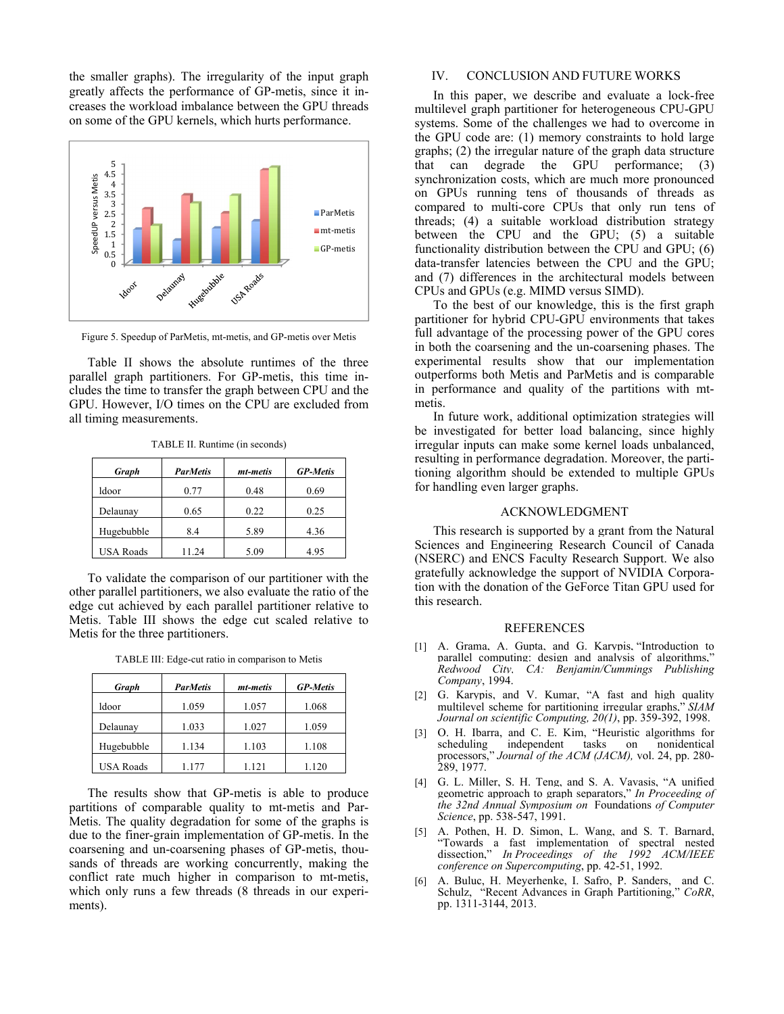the smaller graphs). The irregularity of the input graph greatly affects the performance of GP-metis, since it increases the workload imbalance between the GPU threads on some of the GPU kernels, which hurts performance.



Figure 5. Speedup of ParMetis, mt-metis, and GP-metis over Metis

Table II shows the absolute runtimes of the three parallel graph partitioners. For GP-metis, this time includes the time to transfer the graph between CPU and the GPU. However, I/O times on the CPU are excluded from all timing measurements.

| Graph            | <b>ParMetis</b> | mt-metis | <b>GP-Metis</b> |
|------------------|-----------------|----------|-----------------|
| ldoor            | 0.77            | 0.48     | 0.69            |
| Delaunay         | 0.65            | 0.22     | 0.25            |
| Hugebubble       | 8.4             | 5.89     | 4.36            |
| <b>USA Roads</b> | 11.24           | 5.09     | 4.95            |

TABLE II. Runtime (in seconds)

To validate the comparison of our partitioner with the other parallel partitioners, we also evaluate the ratio of the edge cut achieved by each parallel partitioner relative to Metis. Table III shows the edge cut scaled relative to Metis for the three partitioners.

| Graph            | <b>ParMetis</b> | mt-metis | <b>GP-Metis</b> |
|------------------|-----------------|----------|-----------------|
| ldoor            | 1.059           | 1.057    | 1.068           |
| Delaunay         | 1.033           | 1.027    | 1.059           |
| Hugebubble       | 1.134           | 1.103    | 1.108           |
| <b>USA Roads</b> | 1.177           | 1.121    | 1.120           |

The results show that GP-metis is able to produce partitions of comparable quality to mt-metis and Par-Metis. The quality degradation for some of the graphs is due to the finer-grain implementation of GP-metis. In the coarsening and un-coarsening phases of GP-metis, thousands of threads are working concurrently, making the conflict rate much higher in comparison to mt-metis, which only runs a few threads  $(8 \text{ threads in our experi-})$ ments).

#### IV. CONCLUSION AND FUTURE WORKS

In this paper, we describe and evaluate a lock-free multilevel graph partitioner for heterogeneous CPU-GPU systems. Some of the challenges we had to overcome in the GPU code are: (1) memory constraints to hold large graphs; (2) the irregular nature of the graph data structure that can degrade the GPU performance; (3) synchronization costs, which are much more pronounced on GPUs running tens of thousands of threads as compared to multi-core CPUs that only run tens of threads; (4) a suitable workload distribution strategy between the CPU and the GPU; (5) a suitable functionality distribution between the CPU and GPU; (6) data-transfer latencies between the CPU and the GPU; and (7) differences in the architectural models between CPUs and GPUs (e.g. MIMD versus SIMD).

To the best of our knowledge, this is the first graph partitioner for hybrid CPU-GPU environments that takes full advantage of the processing power of the GPU cores in both the coarsening and the un-coarsening phases. The experimental results show that our implementation outperforms both Metis and ParMetis and is comparable in performance and quality of the partitions with mtmetis.

In future work, additional optimization strategies will be investigated for better load balancing, since highly irregular inputs can make some kernel loads unbalanced, resulting in performance degradation. Moreover, the partitioning algorithm should be extended to multiple GPUs for handling even larger graphs.

### ACKNOWLEDGMENT

This research is supported by a grant from the Natural Sciences and Engineering Research Council of Canada (NSERC) and ENCS Faculty Research Support. We also gratefully acknowledge the support of NVIDIA Corporation with the donation of the GeForce Titan GPU used for this research.

#### REFERENCES

- [1] A. Grama, A. Gupta, and G. Karypis, "Introduction to parallel computing: design and analysis of algorithms," *Redwood City, CA: Benjamin/Cummings Publishing Company*, 1994.
- [2] G. Karypis, and V. Kumar, "A fast and high quality multilevel scheme for partitioning irregular graphs," *SIAM Journal on scientific Computing, 20(1)*, pp. 359-392, 1998.
- [3] O. H. Ibarra, and C. E. Kim, "Heuristic algorithms for scheduling independent tasks on nonidentical processors," *Journal of the ACM (JACM),* vol. 24, pp. 280- 289, 1977.
- [4] G. L. Miller, S. H. Teng, and S. A. Vavasis, "A unified geometric approach to graph separators," *In Proceeding of the 32nd Annual Symposium on* Foundations *of Computer Science*, pp. 538-547, 1991.
- [5] A. Pothen, H. D. Simon, L. Wang, and S. T. Barnard, "Towards a fast implementation of spectral nested dissection," *In Proceedings of the 1992 ACM/IEEE conference on Supercomputing*, pp. 42-51, 1992.
- [6] A. Buluc, H. Meyerhenke, I. Safro, P. Sanders, and C. Schulz, "Recent Advances in Graph Partitioning," *CoRR*, pp. 1311-3144, 2013.